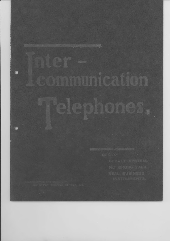communication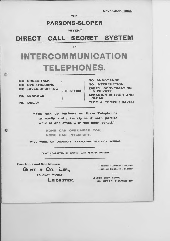THE

## PARSONS-SLOPER

#### PATENT

## DIRECT CALL SECRET SYSTEM

**OF** 

# INTERCOMMUNICATION TELEPHONES.

NO OROSS.TALK NO OVER.HEARING NO EAVES-DROPPING

NO LEAKAGE

NO DELAY

THEREFORE

(

NO ANNOYANCE NO INTERRUPTION EVERY CONVERSATION PRIVATE SPEAKING IS LOUD AND CLEAR TIME & TEMPER SAVED

"You can do business on these Telephones as easity and privately as if both parties were in one office with the door locked."

> NONE CAN OVER-HEAR YOU, NONE CAN INTERRUPT.

WILL WORK ON ORDINARY INTEROOMMUNIOATION WIRING.

FULLY PROTECTED BY BRITISH AND FOREIGN PATENTS.

Proprietors and Sole Makers:

**GENT & Co., LIM.,** 

FARADAY WORKS,

LelcesrER.

Telegrams: "Lodestone" Leicester Telephone: National 151, Leicestet

LONDON SHOW ROOMS; 3A UPPER THAMES ST.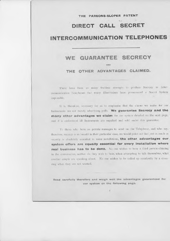#### THE PARSONS-SLOPER PATENT

## DIRECT CALL SECRET

## INTERCOMMUNICATION TELEPHONES

#### WE GUARANTEE SECRECY

AND

#### THE OTHER ADVANTAGES CLAIMED.

There have been so many fruitless attempts to produce Secrecy in Intercommunication Telephones that many Electricians have pronounced a Secret System impossible.

It is, therefore, necessary for us to emphasise that the claims we make for our Instruments are not merely advertising puffs. We guarantee Secrecy and the many other advantages we claim for our system detailed on the next page, and it is understood all Instruments are supplied and sold under this guarantee.

To those who have no private messages to send on the Telephone, and who say, therefore, secrecy is no benefit in their particular case, we would point out that just as much as secrecy is absolutely essential in some installations, the other advantages our system offers are equally essential for every installation where real business has to be done. No one wishes to have a third person chiming in the conversation, neither do they wish to hear, when attempting to talk themselves, what another couple are speaking about. No one wishes to be called up accidently by a crossring when they are not wanted.

Read carefully therefore and weigh well the advantages guaranteed for our system on the following page.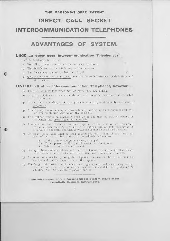#### THE PARSONS-SLOPER PATENT

# DIRECT CALL SECRET

## **INTERCOMMUNICATION TELEPHONES**

### ADVANTAGES OF SYSTEM.

#### LIKE all other good Intercommunication Telephones:-

- (1) No Exchange is needed,
- (2) To call a Station you switch on and ring up direct.
- (3) The Switch-arm can be left in any position after use
- The Instrument cannot be left out of call,  $(4)$
- Only ordinary Wiring is employed-one line for each Instrument, with battery and  $(5)$ return wires

#### **UNLIKE** all other Intercommunication Telephones, however:-

- (1) There is no cross-talk when two or more pairs are talking.
- (2) In say a 20-station set to pairs can talk and each couple's conversation is restricted to themselves.
- (3) When a pair is speaking, a third party cannot accidently or designedly over-hear or eaves-drop.
- (4) A third party cannot interrupt a conversation by ringing up an engaged instrument, nor can he in any way affect the speakers.
- (5) Two stations cannot be accidently rung up at one time by careless placing of the switch, and cross-ringing is impossible.
- $(6)$  A number of stations can all converse together at the wish of all concerned (not otherwise), thus A, B, C and D (4 stations) can all talk together as if they were in one room, and their conversation cannot be overheard by others.
- (7) By means of a tatler fixed on each instrument, the calling station hears an echo of the distant bell and so is immediately informed-
	- (a) If the distant station is already engaged;
	- (b) If the person at the distant station is absent, or-
	- (c) When he is at his instrument.
- (8) Owing to absence of any leakage, and each pair having a complete metallic circuit, conversation is much louder and clearer than with ordinary instruments.
- (9) As no confusion results by using the telephone, business can be carried on more. smartly and quickly than by any other system.
- (10) The design and construction of the instruments give special facilities for easy wiring. There are no loose wires to harbour dust or become detached by dusting or vibration, &c. Note carefully pages 4 and 10.

The advantages of the Parsons-Sloper System make them essentially Business Instruments,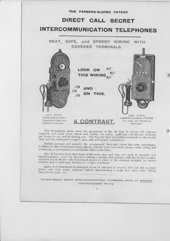

The Illustrations above show the appearance of the old type of wiring with exposed terminals and loose wires which look untidy; are untidy; hold dust and become detached and broken in use, and by dusting, etc. Also the new type with hidden terminals on detachable base, and the consequent compact, neat, safe and speedy connections.

Besides neatness and security, the arrangement illustrated above has other advantages. It allows for the switchboard being entirely removed from Instrument proper when fixing and connecting, a convenience of inestimable value to the Fixer.

Also all Switches have their bases of the same size, and they are made to template and interchangeable; so if it be desired to enlarge a system, new switches with the desired number of points can be fitted to the Instruments proper in place of the existing switches, no matter whether wall or table type, literally in a couple of minutes.

Again, if an Instrument be damaged, it can be removed by anyone who can use a screw driver, and, after repair, replaced without disconnecting a single line wire.-(See Fixing Instructions page 10.)

Parsons-Sloper Secret Intercommunication Telephones work on ordinary Interchangeable Wiring,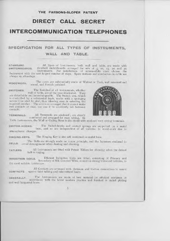#### THE PARSONS-SLOPER PATENT

## DIRECT CALL SECRET

## **INTERCOMMUNICATION TELEPHONES**

## SPECIFICATION FOR ALL TYPES OF INSTRUMENTS.

#### WALL AND TABLE.

All types of Instruments, both wall and table, are made with STANDARD standard switchboards arranged for sets of 5, 10, 15, 20 and 25 SWITCHBOARDS. Instruments. For installations of intermediate sizes choose the Instrument with the next largest number of ways. Spare stations and conductors in cable are

always an advantage.

The cases are substantially made of Walnut or Teak, well seasoned and WOODWORK. sound, and French polished.

The Switches of all Instruments, whether SWITCHES. wall or table, are of the type illustrated. They are detachable and interchangeable. The Switch arm, which is controlled by a substantial knob, works with a springing action from stud to stud, thus insuring ease in selecting the required number. The arm is so arranged that it cannot make two contacts at once, nor can it be accidently left between contacts.



All Terminals are enclosed; are clearly TERMINALS. numbered and arranged for easy wiring. In

Table Instruments, the Wall or Ceiling Rose is also litted with enclosed easy wiring terminals.

The Switch-hooks and contact springs are supported on a metal SWITCH-HOOKS. base, and so are independent of all variation in wood-work due to atmospheric changes,

The Ringing Key is also self contained on metal base. RINGING-KEYS.

The Bells are strongly made on a new principle, and the hammers enclosed to BELLS. avoid derangement when dusting and cleaning,

All Instruments are fitted with Patent Tatlers for showing when the distant TATLERS. bell is ringing.

Efficient Induction Coils are fitted, consisting of Primary and INDUCTION COILS. Secondary of Silk Covered Wire, wound on strong boxwood bobbins, to the most suitable resistances.

All Contacts are arranged with platinum and friction connections to insure **CONTACTS.** against faint talking and intermittent faults.

The Instruments are made of best material by efficient workmen in GENERALLY. accordance with the latest modern practice and finished in nickel plating and well lacquered brass.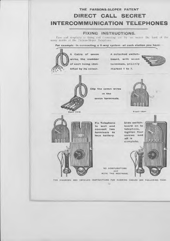#### FIXING INSTRUCTIONS.

Ease and simplicity in fixing and connecting are by no means the least of the many merits of the Parsons-Sloper Telephone.

For example-in connecting a 5-way system-at each station you have:



A Cable of seven wires, the number of each being iden-

A detached switchboard, with seven terminals, plainly marked 1 to 7.



中心

 $\circ$ 



Clip the seven wires in the seven terminals.



Front view.



**Fix Telephone** wall and  $\pm \alpha$ two connect terminals to loca battery,

Slide switchboard on to telephone, tighten four screws and all is complete.

NO COMPLIGATIONS and **NOTE THE NEATNESS** 

FOR DIAGRAMS AND DETAILED INSTRUCTIONS FOR RUNNING CABLES SEE FOLLOWING PAGE.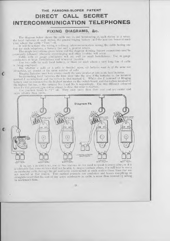#### FIXING DIAGRAMS, &c.

The diagram below shows the cable run to, and terminating at, each station in 7 wires, the local batteries at each station, the general ringing battery; and the junction boxes at each joint where the cable "Tees" off.

It will be noticed the wiring is ordinary intercommunication wiring, the cable having one line for each telephone, a battery line and a general return.

The simple instructions given below and the diagram showing battery connections must be accurately followed otherwise cross-ringing and other troubles will occur.

Cable with 22 gauge conductors will act well for small Installations. Use 20 gauge conductors in large Installations and wherever possible.

Use two cells for each local battery, or three for each where a very long line of cable is being employed.

But whether 2 cells or 3 cells is decided upon, all batteries must be of the same size throughout, i.e. consist of the same number of cells

Ringing Batteries must have always exactly the same mimber of cells as the local batteries.

In connecting local batteries, the fixer *must* take the zinc of the batteries to the terminal marked Z ou telephone and the carbon to that marked C. Whilst the Z terminal of Ringing battery must be connected to the highest number on the switch-board, and the carbon terminal to the highest but one, in this instance No. 7 and No. 6 respectively. Use two different coloured wires for this purpose, one colour always to Zinc, the other to Carbon.

Use junction boxes to "T" off. They save more than their cost and are neater and more reliable than joints.



If in, say, a 20 station set, one or two stations do not need to speak to every other, or if it is advisable that some stations shall not be able to ring up certain others, it is still best to run a 22 conductor cable through the job and leave unconnected at each station those lines that are not needed at that station. This method prevents any confusion and leaves everything so straightforward that the cost of any spare conductors in cable, is more than covered by saving in workman's time.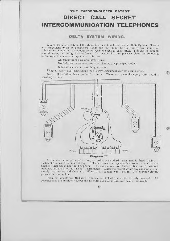#### DELTA SYSTEM WIRING.

A very useful application of the above Instruments is known as the Delta System. This is an arrangement by which a principal station can ring up and be rung up by any number of sub-stations, where the sub-stations do not wish to speak to each other. This can be done in several ways, but using Parsons-Sloper Instruments for the purpose gives the following advantages, which no other system can offer :-

All conversations are absolutely secret,

No Inclicator or Annunciator is required at the principal station.

Sub-staticns have no switching whatever.

Diagram below gives connections for a s-way Instrument with its 4 sub-stations.

Note: Sub-stations have no local batteries. There is  $\tau$  general ringing battery and  $\tau$ speaking battery.

E.

o



Diagram T7.

At the central or principal station, an ordinary standard Instrument is fitted, having a switch of the desired number of ways. A Table Instrument is generally chosen, as the Operator need not then rise to use the Telephone. The sub-stations are standard Instruments without switches, and are listed as " Delta " Instruments. When the central wants any sub-stations, he merely switches on and rings up. When a sub-station wants central, the operator simply presses the ringing key.

Delta Instrurnents are fitted with Tatlers so can tell when central is already engaged. All conversations are absolutely secret and no other sub-station can over-hear or interrupt.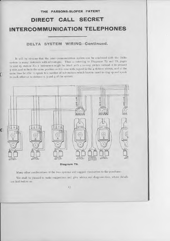# DIRECT CALL SECRET INTERCOMMUNICATION TELEPHONES

THE PARSONS.SLOPER PATENT

DELTA SYSTEM WIRING-Continued.

It will be obvious that the inter-communication system can be combined with the Delta system in many instances with advantages. Thus - referring to Diagrams  $T_5$  and T6, pages 11 and 15, station No. 1 instrument might be fitted with a 10-way switch instead of its present 5-way, and so be in the same position as it is now with regard to the 4 stations shown, and at the same time be able to speak to a number of sub-stations which have no need to ring up and speak to each other or to stations  $2$ ,  $3$  and  $4$  of the system.

r



Many other combinations of the two systems will suggest themselves to the purchaser.

We shall be pleased to make suggestions and give advice and diagrams free, where details are laid before us.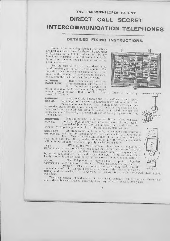### DETAILED FIXING INSTRUCTIONS.

Some of the following detailed Instructions are perhaps unnecessary for those who are used to Electrical work, but if read carefully by any intelligent workman, they will enable him to fix Secret Intercommunication Telephones with every possible success.

For the sake of clearness, we describe in detail the fixing of a set of five Instruments. The only difference between this and a larger Installation, is the number of conductors in the cable and the number of terminals to be dealt with.

NUMBER Before commencing the wiring **EACH LINE.** of an installation, take the end of the cable and write down a list of the colours of each conductor and give each a

number, say as follows:-Red 1, White 2, Blue 3, Green 1, Yellow 5, Brown 6, Black 7.

Run the Cable between the two stations farthest apart. **RUNNING** CABLE. branching it off by means of Junction Boxes where required for

the remaining telephones. Fix the cable to walls, etc. by means of wooden cleats, leather slings or staples. If the latter are used, see that some insulating material, felt, cloth, or leather is inserted between the actual metal and the cable, to prevent abrasion or damage by rust affecting the insulation.

Make all branches with Junction Boxes. They will save **JUNCTION** more than their cost in time and insure a reliable job. Each BOXES. terminal of Junction Box is numbered, and should have the

wire of corresponding number, known by its colour, clamped under it.

All branches having been made, there is now a cable through-CONNECT SWITCHES out the job, terminating at each station with 7 conductors or

lines. Neatly bare the end of each of the lines for about j-in (not more) and clamp them, number for number, into the 7 terminals, which will be found on each switchboard plainly marked from 1 to 7.

When all the five Switchboards have been so connected, it **TEST** EACH LINE. is well to test each line to see that no line is connected or short circuited to the others. This is easily done from any one station

by means of a couple of cells and a galvanometer. If no galvanometer is handy, any fault can be found by laying the wires on the tongue and tasting.

The Telephones may now be fixed in position, together LOCAL BATTERIES with their local batteries. These are connected together with ordinary Electric Bell Wire, great care being taken that the terminal marked "Z" on the Telephone is taken to the Zinc of the Local

Battery, and that marked "C" to Carbon. If this rule is not strictly followed, cross-ringing will occur.

The local batteries should consist of two cells in ordinary Installations, and three cells where the cable employed is unusually long, say where it exceeds 250 yards.





ER VIE

гипискипора.